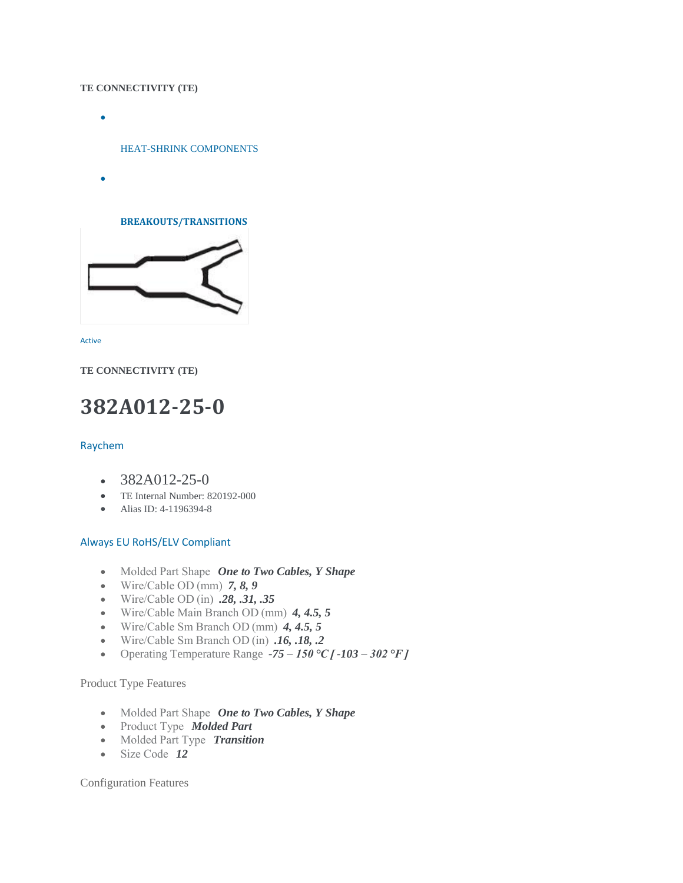#### **TE CONNECTIVITY (TE)**

 $\bullet$ 

[HEAT-SHRINK COMPONENTS](http://www.te.com/usa-en/products/harnessing/heat-shrink-components.html)

 $\bullet$ 

**[BREAKOUTS/TRANSITIONS](http://www.te.com/usa-en/products/harnessing/heat-shrink-components/breakouts-transitions.html)**



[Active](http://www.te.com/usa-en/product-820192-000.html) 

**TE CONNECTIVITY (TE)**

# **382A012-25-0**

#### [Raychem](http://www.te.com/usa-en/products/families/raychem.html)

- $-382A012-25-0$
- TE Internal Number: 820192-000
- Alias ID: 4-1196394-8

#### [Always EU RoHS/ELV Compliant](http://www.te.com/usa-en/product-820192-000.html)

- Molded Part Shape  *One to Two Cables, Y Shape*
- Wire/Cable OD (mm) *7, 8, 9*
- Wire/Cable OD (in) *.28, .31, .35*
- Wire/Cable Main Branch OD (mm) *4, 4.5, 5*
- Wire/Cable Sm Branch OD (mm) *4, 4.5, 5*
- Wire/Cable Sm Branch OD (in) *.16, .18, .2*
- Operating Temperature Range *-75 – 150 °C [ -103 – 302 °F ]*

## Product Type Features

- Molded Part Shape  *One to Two Cables, Y Shape*
- Product Type  *Molded Part*
- Molded Part Type  *Transition*
- Size Code 12<sup>1</sup>

Configuration Features